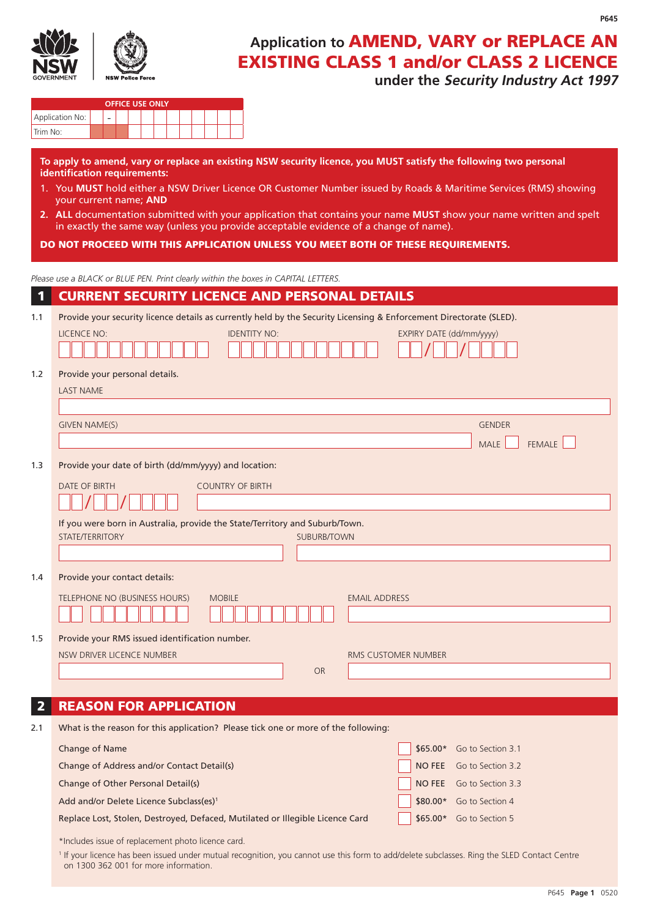

# **Application to** AMEND, VARY or REPLACE AN EXISTING CLASS 1 and/or CLASS 2 LICENCE

| under the Security Industry Act 1997 |  |  |  |  |
|--------------------------------------|--|--|--|--|
|--------------------------------------|--|--|--|--|

| <b>OFFICE USE ONLY</b> |  |  |  |  |  |  |  |  |  |
|------------------------|--|--|--|--|--|--|--|--|--|
| Application No:        |  |  |  |  |  |  |  |  |  |
| Trim No:               |  |  |  |  |  |  |  |  |  |

on 1300 362 001 for more information.

**To apply to amend, vary or replace an existing NSW security licence, you MUST satisfy the following two personal identification requirements:**

- 1. You **MUST** hold either a NSW Driver Licence OR Customer Number issued by Roads & Maritime Services (RMS) showing your current name; **AND**
- **2. ALL** documentation submitted with your application that contains your name **MUST** show your name written and spelt in exactly the same way (unless you provide acceptable evidence of a change of name).

DO NOT PROCEED WITH THIS APPLICATION UNLESS YOU MEET BOTH OF THESE REQUIREMENTS.

*Please use a BLACK or BLUE PEN. Print clearly within the boxes in CAPITAL LETTERS.*

| $\mathbf{1}$            | <b>CURRENT SECURITY LICENCE AND PERSONAL DETAILS</b>                                                                                                   |
|-------------------------|--------------------------------------------------------------------------------------------------------------------------------------------------------|
| 1.1                     | Provide your security licence details as currently held by the Security Licensing & Enforcement Directorate (SLED).                                    |
|                         | <b>LICENCE NO:</b><br><b>IDENTITY NO:</b><br>EXPIRY DATE (dd/mm/yyyy)                                                                                  |
|                         |                                                                                                                                                        |
| 1.2                     | Provide your personal details.                                                                                                                         |
|                         | <b>LAST NAME</b>                                                                                                                                       |
|                         |                                                                                                                                                        |
|                         | GIVEN NAME(S)<br><b>GENDER</b>                                                                                                                         |
|                         | <b>FEMALE</b><br><b>MALE</b>                                                                                                                           |
| 1.3                     | Provide your date of birth (dd/mm/yyyy) and location:                                                                                                  |
|                         | <b>COUNTRY OF BIRTH</b><br><b>DATE OF BIRTH</b>                                                                                                        |
|                         |                                                                                                                                                        |
|                         | If you were born in Australia, provide the State/Territory and Suburb/Town.                                                                            |
|                         | STATE/TERRITORY<br>SUBURB/TOWN                                                                                                                         |
|                         |                                                                                                                                                        |
| 1.4                     | Provide your contact details:                                                                                                                          |
|                         | TELEPHONE NO (BUSINESS HOURS)<br><b>MOBILE</b><br><b>EMAIL ADDRESS</b>                                                                                 |
|                         |                                                                                                                                                        |
| 1.5                     | Provide your RMS issued identification number.                                                                                                         |
|                         | NSW DRIVER LICENCE NUMBER<br><b>RMS CUSTOMER NUMBER</b>                                                                                                |
|                         | <b>OR</b>                                                                                                                                              |
|                         |                                                                                                                                                        |
| $\overline{\mathbf{2}}$ | <b>REASON FOR APPLICATION</b>                                                                                                                          |
| 2.1                     | What is the reason for this application? Please tick one or more of the following:                                                                     |
|                         | Change of Name<br>\$65.00* Go to Section 3.1                                                                                                           |
|                         | Change of Address and/or Contact Detail(s)<br>NO FEE Go to Section 3.2                                                                                 |
|                         | Change of Other Personal Detail(s)<br><b>NO FEE</b><br>Go to Section 3.3                                                                               |
|                         | Add and/or Delete Licence Subclass(es) <sup>1</sup><br>\$80.00*<br>Go to Section 4                                                                     |
|                         | Replace Lost, Stolen, Destroyed, Defaced, Mutilated or Illegible Licence Card<br>\$65.00*<br>Go to Section 5                                           |
|                         | *Includes issue of replacement photo licence card.                                                                                                     |
|                         | <sup>1</sup> If your licence has been issued under mutual recognition, you cannot use this form to add/delete subclasses. Ring the SLED Contact Centre |

**P645**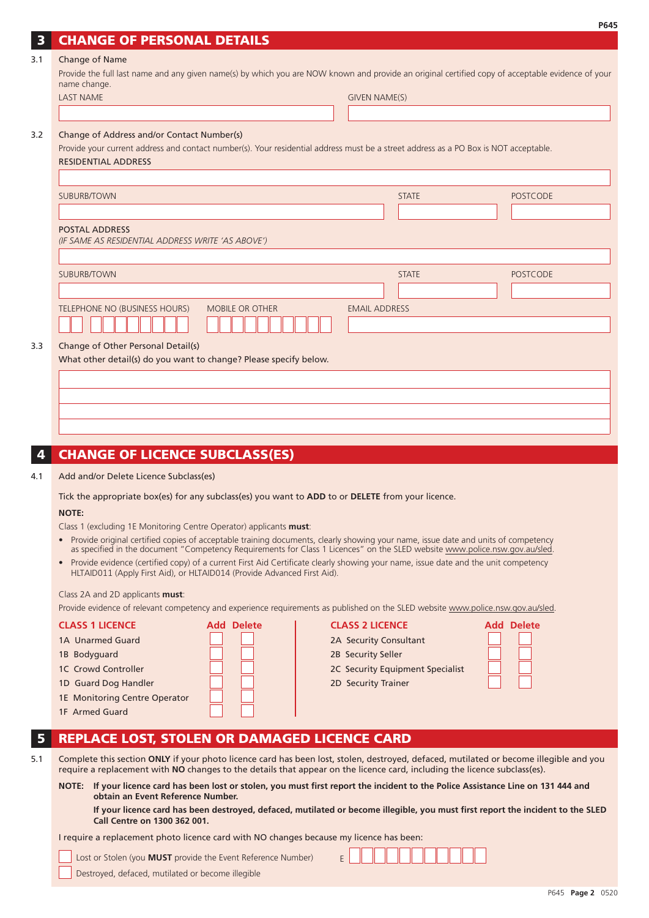# **CHANGE OF PERSONAL DETAILS**

#### 3.1 Change of Name

Provide the full last name and any given name(s) by which you are NOW known and provide an original certified copy of acceptable evidence of your name change.

| <b>LAST NAME</b>                                                                                                                     | <b>GIVEN NAME(S)</b> |                      |                 |  |  |
|--------------------------------------------------------------------------------------------------------------------------------------|----------------------|----------------------|-----------------|--|--|
|                                                                                                                                      |                      |                      |                 |  |  |
| Change of Address and/or Contact Number(s)                                                                                           |                      |                      |                 |  |  |
| Provide your current address and contact number(s). Your residential address must be a street address as a PO Box is NOT acceptable. |                      |                      |                 |  |  |
| <b>RESIDENTIAL ADDRESS</b>                                                                                                           |                      |                      |                 |  |  |
|                                                                                                                                      |                      |                      |                 |  |  |
| <b>SUBURB/TOWN</b>                                                                                                                   |                      | <b>STATE</b>         | <b>POSTCODE</b> |  |  |
|                                                                                                                                      |                      |                      |                 |  |  |
|                                                                                                                                      |                      |                      |                 |  |  |
| <b>POSTAL ADDRESS</b><br>(IF SAME AS RESIDENTIAL ADDRESS WRITE 'AS ABOVE')                                                           |                      |                      |                 |  |  |
|                                                                                                                                      |                      |                      |                 |  |  |
|                                                                                                                                      |                      |                      |                 |  |  |
| <b>SUBURB/TOWN</b>                                                                                                                   |                      | <b>STATE</b>         | <b>POSTCODE</b> |  |  |
|                                                                                                                                      |                      |                      |                 |  |  |
| TELEPHONE NO (BUSINESS HOURS)<br>MOBILE OR OTHER                                                                                     |                      | <b>EMAIL ADDRESS</b> |                 |  |  |
|                                                                                                                                      |                      |                      |                 |  |  |
|                                                                                                                                      |                      |                      |                 |  |  |
| Change of Other Personal Detail(s)                                                                                                   |                      |                      |                 |  |  |
| What other detail(s) do you want to change? Please specify below.                                                                    |                      |                      |                 |  |  |
|                                                                                                                                      |                      |                      |                 |  |  |
|                                                                                                                                      |                      |                      |                 |  |  |

# **CHANGE OF LICENCE SUBCLASS(ES)**

#### 4.1 Add and/or Delete Licence Subclass(es)

Tick the appropriate box(es) for any subclass(es) you want to **ADD** to or **DELETE** from your licence.

#### **NOTE:**

Class 1 (excluding 1E Monitoring Centre Operator) applicants **must**:

- Provide original certified copies of acceptable training documents, clearly showing your name, issue date and units of competency as specified in the document "Competency Requirements for Class 1 Licences" on the SLED website www.police.nsw.gov.au/sled
- Provide evidence (certified copy) of a current First Aid Certificate clearly showing your name, issue date and the unit competency HLTAID011 (Apply First Aid), or HLTAID014 (Provide Advanced First Aid).

### Class 2A and 2D applicants **must**:

Provide evidence of relevant competency and experience requirements as published on the SLED website www.police.nsw.gov.au/sled.

- 
- 1C Crowd Controller 2C Security Equipment Specialist
- 1D Guard Dog Handler 2D Security Trainer
- 1E Monitoring Centre Operator
- 1F Armed Guard

## **CLASS 1 LICENCE Add Delete CLASS 2 LICENCE Add Delete**

- 2A Security Consultant
- 1B Bodyguard 2B Security Seller
	-
	-

| r<br>٥ | Delet |
|--------|-------|
|        |       |
|        |       |
|        |       |
|        |       |
|        |       |
|        |       |

# 5 REPLACE LOST, STOLEN OR DAMAGED LICENCE CARD

5.1 Complete this section **ONLY** if your photo licence card has been lost, stolen, destroyed, defaced, mutilated or become illegible and you require a replacement with **NO** changes to the details that appear on the licence card, including the licence subclass(es).

**NOTE: If your licence card has been lost or stolen, you must first report the incident to the Police Assistance Line on 131 444 and obtain an Event Reference Number.** 

**If your licence card has been destroyed, defaced, mutilated or become illegible, you must first report the incident to the SLED Call Centre on 1300 362 001.** 

I require a replacement photo licence card with NO changes because my licence has been:

Lost or Stolen (you **MUST** provide the Event Reference Number) F

Destroyed, defaced, mutilated or become illegible